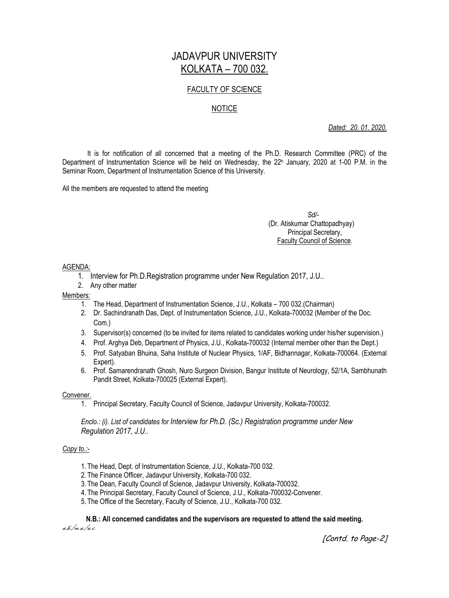# JADAVPUR UNIVERSITY KOLKATA – 700 032.

## FACULTY OF SCIENCE

## NOTICE

*Dated: 20. 01. 2020.*

It is for notification of all concerned that a meeting of the Ph.D. Research Committee (PRC) of the Department of Instrumentation Science will be held on Wednesday, the 22<sup>h</sup> January, 2020 at 1-00 P.M. in the Seminar Room, Department of Instrumentation Science of this University.

All the members are requested to attend the meeting

### *Sd/-* (Dr. Atiskumar Chattopadhyay) Principal Secretary, Faculty Council of Science.

### AGENDA:

- 1. Interview for Ph.D.Registration programme under New Regulation 2017, J.U..
- 2. Any other matter

#### Members:

- 1. The Head, Department of Instrumentation Science, J.U., Kolkata 700 032.(Chairman)
- 2. Dr. Sachindranath Das, Dept. of Instrumentation Science, J.U., Kolkata-700032 (Member of the Doc. Com.)
- 3. Supervisor(s) concerned (to be invited for items related to candidates working under his/her supervision.)
- 4. Prof. Arghya Deb, Department of Physics, J.U., Kolkata-700032 (Internal member other than the Dept.)
- 5. Prof. Satyaban Bhuina, Saha Institute of Nuclear Physics, 1/AF, Bidhannagar, Kolkata-700064. (External Expert).
- 6. Prof. Samarendranath Ghosh, Nuro Surgeon Division, Bangur Institute of Neurology, 52/1A, Sambhunath Pandit Street, Kolkata-700025 (External Expert).

#### Convener.

1. Principal Secretary, Faculty Council of Science, Jadavpur University, Kolkata-700032.

*Enclo.: (i). List of candidates for Interview for Ph.D. (Sc.) Registration programme under New Regulation 2017, J.U..*

#### *Copy to.:-*

- 1. The Head, Dept. of Instrumentation Science, J.U., Kolkata-700 032.
- 2. The Finance Officer, Jadavpur University, Kolkata-700 032.
- 3. The Dean, Faculty Council of Science, Jadavpur University, Kolkata-700032.
- 4. The Principal Secretary, Faculty Council of Science, J.U., Kolkata-700032-Convener.
- 5. The Office of the Secretary, Faculty of Science, J.U., Kolkata-700 032.

**N.B.: All concerned candidates and the supervisors are requested to attend the said meeting.** a.b./m.a./a.c.

[Contd. to Page-2]